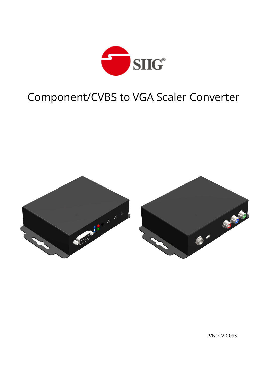

# Component/CVBS to VGA Scaler Converter



P/N: CV-009S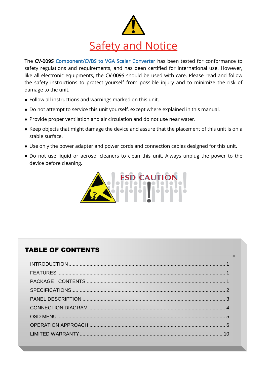

The CV-009S Component/CVBS to VGA Scaler Converter has been tested for conformance to safety regulations and requirements, and has been certified for international use. However, like all electronic equipments, the CV-009S should be used with care. Please read and follow the safety instructions to protect yourself from possible injury and to minimize the risk of damage to the unit.

- Follow all instructions and warnings marked on this unit.
- Do not attempt to service this unit yourself, except where explained in this manual.
- Provide proper ventilation and air circulation and do not use near water.
- Keep objects that might damage the device and assure that the placement of this unit is on a stable surface.
- Use only the power adapter and power cords and connection cables designed for this unit.
- Do not use liquid or aerosol cleaners to clean this unit. Always unplug the power to the device before cleaning.



## TABLE OF CONTENTS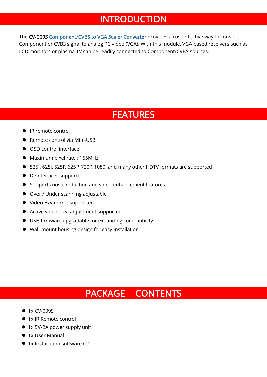# INTRODUCTION

<span id="page-2-0"></span>The CV-009S Component/CVBS to VGA Scaler Converter provides a cost effective way to convert Component or CVBS signal to analog PC video (VGA). With this module, VGA based receivers such as LCD monitors or plasma TV can be readily connected to Component/CVBS sources.

# FEATURES

- <span id="page-2-1"></span>● IR remote control
- Remote control via Mini-USB
- OSD control interface
- Maximum pixel rate : 165MHz
- 525i, 625i, 525P, 625P, 720P, 1080i and many other HDTV formats are supported
- **•** Deinterlacer supported
- Supports nosie reduction and video enhancement features
- Over / Under scanning adjustable
- $\bullet$  Video H/V mirror supported
- Active video area adjustment supported
- USB firmware upgradable for expanding compatibility
- Wall-mount housing design for easy installation

# PACKAGE CONTENTS

- <span id="page-2-2"></span>• 1x CV-009S
- 1x IR Remote control
- 1x 5V/2A power supply unit
- 1x User Manual
- 1x Installation software CD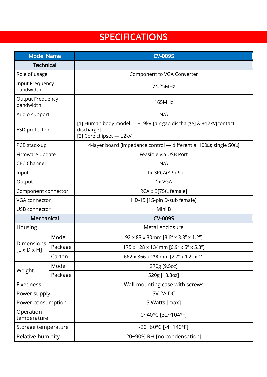# **SPECIFICATIONS**

<span id="page-3-0"></span>

| <b>Model Name</b>                     |         | <b>CV-009S</b>                                                                                            |  |  |
|---------------------------------------|---------|-----------------------------------------------------------------------------------------------------------|--|--|
| <b>Technical</b>                      |         |                                                                                                           |  |  |
| Role of usage                         |         | Component to VGA Converter                                                                                |  |  |
| Input Frequency<br>bandwidth          |         | 74.25MHz                                                                                                  |  |  |
| <b>Output Frequency</b><br>bandwidth  |         | 165MHz                                                                                                    |  |  |
| Audio support                         |         | N/A                                                                                                       |  |  |
| <b>ESD</b> protection                 |         | [1] Human body model - ±19kV [air-gap discharge] & ±12kV[contact<br>discharge]<br>[2] Core chipset - ±2kV |  |  |
| PCB stack-up                          |         | 4-layer board [impedance control - differential 100 $\Omega$ ; single 50 $\Omega$ ]                       |  |  |
| Firmware update                       |         | Feasible via USB Port                                                                                     |  |  |
| <b>CEC Channel</b>                    |         | N/A                                                                                                       |  |  |
| Input                                 |         | 1x 3RCA(YPbPr)                                                                                            |  |  |
| Output                                |         | 1x VGA                                                                                                    |  |  |
| Component connector                   |         | RCA x 3[75 $\Omega$ female]                                                                               |  |  |
| VGA connector                         |         | HD-15 [15-pin D-sub female]                                                                               |  |  |
| USB connector                         |         | Mini B                                                                                                    |  |  |
| Mechanical                            |         | <b>CV-009S</b>                                                                                            |  |  |
| Housing                               |         | Metal enclosure                                                                                           |  |  |
|                                       | Model   | 92 x 83 x 30mm [3.6" x 3.3" x 1.2"]                                                                       |  |  |
| Dimensions<br>$[L \times D \times H]$ | Package | 175 x 128 x 134mm [6.9" x 5" x 5.3"]                                                                      |  |  |
|                                       | Carton  | 662 x 366 x 290mm [2'2" x 1'2" x 1']                                                                      |  |  |
|                                       | Model   | 270g [9.5oz]                                                                                              |  |  |
| Weight                                | Package | 520g [18.3oz]                                                                                             |  |  |
| Fixedness                             |         | Wall-mounting case with screws                                                                            |  |  |
| Power supply                          |         | <b>5V 2A DC</b>                                                                                           |  |  |
| Power consumption                     |         | 5 Watts [max]                                                                                             |  |  |
| Operation<br>temperature              |         | 0~40°C [32~104°F]                                                                                         |  |  |
| Storage temperature                   |         | $-20 - 60$ °C [ $-4 - 140$ °F]                                                                            |  |  |
| Relative humidity                     |         | 20~90% RH [no condensation]                                                                               |  |  |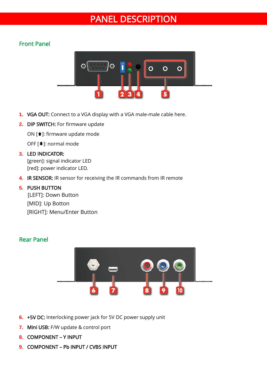# PANEL DESCRIPTION

### <span id="page-4-0"></span>Front Panel



- **1.** VGA OUT: Connect to a VGA display with a VGA male-male cable here.
- **2.** DIP SWITCH: For firmware update

ON [<sup>1</sup>]: firmware update mode

OFF [  $⊌$  ]: normal mode

#### **3.** LED INDICATOR:

[green]: signal indicator LED [red]: power indicator LED.

**4.** IR SENSOR: IR sensor for receiving the IR commands from IR remote

#### **5.** PUSH BUTTON

[LEFT]: Down Button [MID]: Up Botton [RIGHT]: Menu/Enter Button

### Rear Panel



- **6.** +5V DC: Interlocking power jack for 5V DC power supply unit
- **7.** Mini USB: F/W update & control port
- **8.** COMPONENT Y INPUT
- **9.** COMPONENT Pb INPUT / CVBS INPUT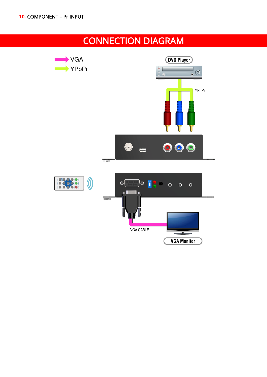# CONNECTION DIAGRAM

<span id="page-5-0"></span>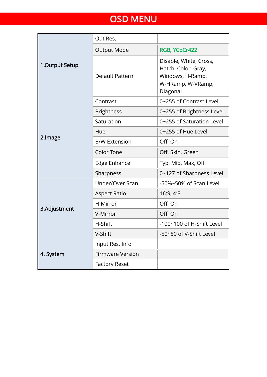# OSD MENU

<span id="page-6-1"></span><span id="page-6-0"></span>

|                | Out Res.                |                                                                                                    |  |
|----------------|-------------------------|----------------------------------------------------------------------------------------------------|--|
|                | <b>Output Mode</b>      | RGB, YCbCr422                                                                                      |  |
| 1.Output Setup | Default Pattern         | Disable, White, Cross,<br>Hatch, Color, Gray,<br>Windows, H-Ramp,<br>W-HRamp, W-VRamp,<br>Diagonal |  |
|                | Contrast                | 0~255 of Contrast Level                                                                            |  |
|                | <b>Brightness</b>       | 0~255 of Brightness Level                                                                          |  |
|                | Saturation              | 0~255 of Saturation Level                                                                          |  |
|                | Hue                     | 0~255 of Hue Level                                                                                 |  |
| 2.Image        | <b>B/W Extension</b>    | Off, On                                                                                            |  |
|                | <b>Color Tone</b>       | Off, Skin, Green                                                                                   |  |
|                | Edge Enhance            | Typ, Mid, Max, Off                                                                                 |  |
|                | Sharpness               | 0~127 of Sharpness Level                                                                           |  |
|                | Under/Over Scan         | -50%~50% of Scan Level                                                                             |  |
|                | <b>Aspect Ratio</b>     | 16:9, 4:3                                                                                          |  |
| 3.Adjustment   | H-Mirror                | Off, On                                                                                            |  |
|                | V-Mirror                | Off, On                                                                                            |  |
|                | H-Shift                 | -100~100 of H-Shift Level                                                                          |  |
|                | V-Shift                 | -50~50 of V-Shift Level                                                                            |  |
|                | Input Res. Info         |                                                                                                    |  |
| 4. System      | <b>Firmware Version</b> |                                                                                                    |  |
|                | <b>Factory Reset</b>    |                                                                                                    |  |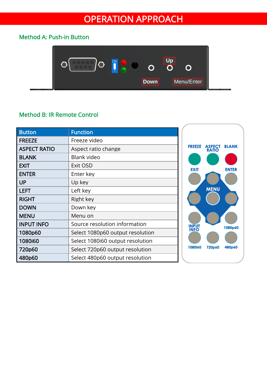# OPERATION APPROACH

## Method A: Push-in Button



### Method B: IR Remote Control

| <b>Button</b>       | <b>Function</b>                  |                |                        |              |
|---------------------|----------------------------------|----------------|------------------------|--------------|
| <b>FREEZE</b>       | Freeze video                     |                |                        |              |
| <b>ASPECT RATIO</b> | Aspect ratio change              | <b>FREEZE</b>  | ASPECT<br><b>RATIO</b> | <b>BLANK</b> |
| <b>BLANK</b>        | Blank video                      |                |                        |              |
| <b>EXIT</b>         | Exit OSD                         | <b>EXIT</b>    |                        | <b>ENTER</b> |
| <b>ENTER</b>        | Enter key                        |                |                        |              |
| <b>UP</b>           | Up key                           |                |                        |              |
| <b>LEFT</b>         | Left key                         |                | <b>MENU</b>            |              |
| <b>RIGHT</b>        | Right key                        |                |                        |              |
| <b>DOWN</b>         | Down key                         |                |                        |              |
| <b>MENU</b>         | Menu on                          |                |                        |              |
| <b>INPUT INFO</b>   | Source resolution information    | <b>INPUT</b>   |                        | 1080p60      |
| 1080p60             | Select 1080p60 output resolution | <b>INFO</b>    |                        |              |
| 1080i60             | Select 1080i60 output resolution |                |                        |              |
| 720p60              | Select 720p60 output resolution  | <b>1080i60</b> | 720p60                 | 480p60       |
| 480p60              | Select 480p60 output resolution  |                |                        |              |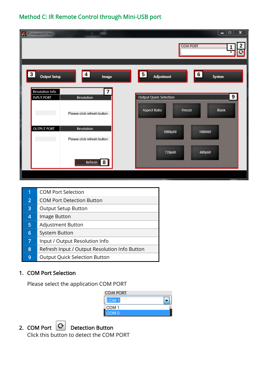## Method C: IR Remote Control through Mini-USB port

| FirmwareWriter                                                                                                                                                                                                                          | ×<br>$\begin{array}{c c c c} \hline \multicolumn{1}{c }{\textbf{m}} & \multicolumn{1}{c }{\textbf{m}} \\ \hline \multicolumn{1}{c }{\textbf{m}} & \multicolumn{1}{c }{\textbf{m}} \\ \hline \multicolumn{1}{c }{\textbf{m}} & \multicolumn{1}{c }{\textbf{m}} \\ \hline \multicolumn{1}{c }{\textbf{m}} & \multicolumn{1}{c }{\textbf{m}} \\ \hline \multicolumn{1}{c }{\textbf{m}} & \multicolumn{1}{c }{\textbf{m}} \\ \hline \multicolumn{1}{c }{\textbf{m}} & \mult$<br>2<br><b>COM PORT</b> |
|-----------------------------------------------------------------------------------------------------------------------------------------------------------------------------------------------------------------------------------------|--------------------------------------------------------------------------------------------------------------------------------------------------------------------------------------------------------------------------------------------------------------------------------------------------------------------------------------------------------------------------------------------------------------------------------------------------------------------------------------------------|
| 3 <sup>1</sup><br>4 <br>Output Setup<br>Image<br>$\overline{7}$<br>Resolution Info<br><b>INPUT PORT</b><br>Resolution<br>Please click refresh button<br><b>OUTPUT PORT</b><br>Resolution<br>Please click refresh button<br>8<br>Refresh | $\overline{5}$<br>6 <br>Adjustment<br>System<br>$\boldsymbol{9}$<br><b>Output Quick Selection</b><br>Aspect Ratio<br>Blank<br>Freeze<br>1080p60<br>1080i60<br>720p60<br>480p60                                                                                                                                                                                                                                                                                                                   |

| 1 | <b>COM Port Selection</b>                     |
|---|-----------------------------------------------|
| 2 | <b>COM Port Detection Button</b>              |
| 3 | <b>Output Setup Button</b>                    |
| 4 | Image Button                                  |
| 5 | <b>Adjustment Button</b>                      |
| 6 | System Button                                 |
| 7 | Input / Output Resolution Info                |
| 8 | Refresh Input / Output Resolution Info Button |
| 9 | <b>Output Quick Selection Button</b>          |

### 1. COM Port Selection

Please select the application COM PORT

| <b>COM PORT</b>  |  |
|------------------|--|
| COM <sub>1</sub> |  |
| COM <sub>1</sub> |  |
| COM <sub>0</sub> |  |



2. COM Port  $\overline{C}$  Detection Button

Click this button to detect the COM PORT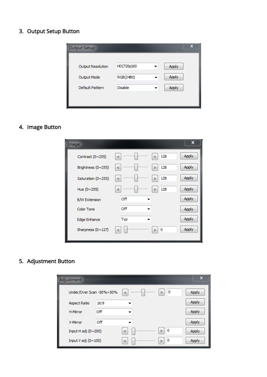### 3. Output Setup Button



## 4. Image Button

| Image                |     |          | x     |
|----------------------|-----|----------|-------|
| Contrast (0~255)     | ≺   | 128<br>> | Apply |
| Brightness (0~255)   | ≺   | 128<br>⋗ | Apply |
| Saturation (0~255)   | ≺   | 128<br>> | Apply |
| Hue (0~255)          | ≺   | 128<br>> | Apply |
| <b>B/W Extension</b> | Off |          | Apply |
| <b>Color Tone</b>    | Off |          | Apply |
| Edge Enhance         | Typ |          | Apply |
| Sharpness (0~127)    |     | 0        | Apply |
|                      |     |          |       |

### 5. Adjustment Button

| Adjustment               |      |    |   |                | x     |
|--------------------------|------|----|---|----------------|-------|
| Under/Over Scan -50%~50% |      | ≺  | > | 0              | Apply |
| <b>Aspect Ratio</b>      | 16:9 |    |   |                | Apply |
| <b>H-Mirror</b>          | Off  |    |   |                | Apply |
| V-Mirror                 | Off  |    |   |                | Apply |
| Input H adj (0~200)      |      | k. | У | $\blacksquare$ | Apply |
| Input V adj (0~100)      |      | ⋖  | 5 | 0              | Apply |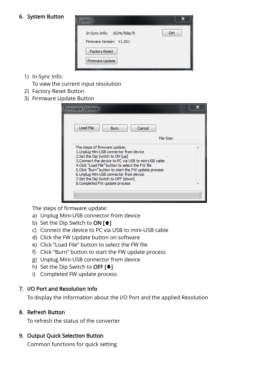### 6. System Button



1) In-Sync Info:

To view the current input resolution

- 2) Factory Reset Button
- 3) Firmware Update Button

| Firmware Update                                                                                                                                                                                                                                                                                                                                                                                          |  |
|----------------------------------------------------------------------------------------------------------------------------------------------------------------------------------------------------------------------------------------------------------------------------------------------------------------------------------------------------------------------------------------------------------|--|
| Load File<br>Cancel<br><b>Burn</b><br>File Size:                                                                                                                                                                                                                                                                                                                                                         |  |
| The steps of firmware update.<br>1. Unplug Mini-USB connector from device<br>2. Set the Dip Switch to ON [up]<br>3. Connect the device to PC via USB to mini-USB cable<br>4. Click "Load File" button to select the FW file<br>5. Click "Burn" button to start the FW update process<br>6. Unplug Mini-USB connector from device<br>7.Set the Dip Switch to OFF [down]<br>8. Completed FW update process |  |
|                                                                                                                                                                                                                                                                                                                                                                                                          |  |

The steps of firmware update:

- a) Unplug Mini-USB connector from device
- b) Set the Dip Switch to  $ON [4]$
- c) Connect the device to PC via USB to mini-USB cable
- d) Click the FW Update button on software
- e) Click "Load File" button to select the FW file
- f) Click "Burn" button to start the FW update process
- g) Unplug Mini-USB connector from device
- h) Set the Dip Switch to OFF  $[\frac{1}{2}]$
- i) Completed FW update process

### 7. I/O Port and Resolution Info

To display the information about the I/O Port and the applied Resolution

### 8. Refresh Button

To refresh the status of the converter

### 9. Output Quick Selection Button

Common functions for quick setting